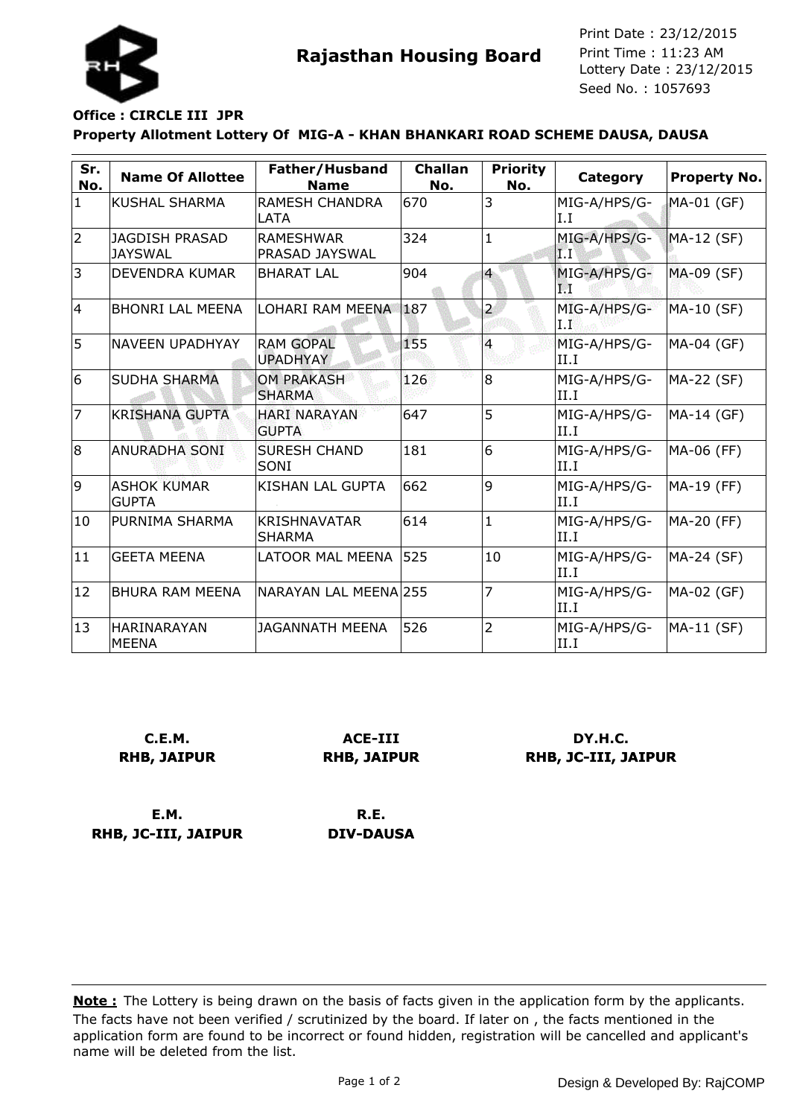

**Rajasthan Housing Board** Print Time : 11:23 AM<br>Lottery Date : 23/12/2015 Seed No. : 1057693 Print Date : 23/12/2015 Print Time : 11:23 AM

## **Property Allotment Lottery Of MIG-A - KHAN BHANKARI ROAD SCHEME DAUSA, DAUSA Office : CIRCLE III JPR**

| Sr.<br>No.   | <b>Name Of Allottee</b>                 | Father/Husband<br><b>Name</b>             | <b>Challan</b><br>No. | <b>Priority</b><br>No. | Category             | Property No. |
|--------------|-----------------------------------------|-------------------------------------------|-----------------------|------------------------|----------------------|--------------|
| $\mathbf{1}$ | KUSHAL SHARMA                           | <b>RAMESH CHANDRA</b><br><b>LATA</b>      | 670                   | 3                      | MIG-A/HPS/G-<br>I.I  | MA-01 (GF)   |
| 2            | <b>JAGDISH PRASAD</b><br><b>JAYSWAL</b> | <b>RAMESHWAR</b><br><b>PRASAD JAYSWAL</b> | 324                   | $\mathbf{1}$           | MIG-A/HPS/G-<br>IТТ  | MA-12 (SF)   |
| 3            | <b>DEVENDRA KUMAR</b>                   | <b>BHARAT LAL</b>                         | 904                   | $\overline{4}$         | MIG-A/HPS/G-<br>П    | MA-09 (SF)   |
| 14           | <b>BHONRI LAL MEENA</b>                 | LOHARI RAM MEENA 187                      |                       | $\overline{2}$         | MIG-A/HPS/G-<br>I.F  | MA-10 (SF)   |
| 5            | NAVEEN UPADHYAY                         | <b>RAM GOPAL</b><br><b>UPADHYAY</b>       | 155                   | $\overline{4}$         | MIG-A/HPS/G-<br>II.I | MA-04 (GF)   |
| 6            | SUDHA SHARMA                            | <b>OM PRAKASH</b><br><b>SHARMA</b>        | 126                   | 8                      | MIG-A/HPS/G-<br>II.I | MA-22 (SF)   |
| 17           | <b>KRISHANA GUPTA</b>                   | <b>HARI NARAYAN</b><br><b>GUPTA</b>       | 647                   | 5                      | MIG-A/HPS/G-<br>II.I | MA-14 (GF)   |
| 8            | <b>ANURADHA SONI</b>                    | <b>SURESH CHAND</b><br>SONI               | 181                   | 6                      | MIG-A/HPS/G-<br>II.I | MA-06 (FF)   |
| 9            | <b>ASHOK KUMAR</b><br><b>GUPTA</b>      | <b>KISHAN LAL GUPTA</b>                   | 662                   | 9                      | MIG-A/HPS/G-<br>II.I | MA-19 (FF)   |
| 10           | PURNIMA SHARMA                          | <b>KRISHNAVATAR</b><br><b>SHARMA</b>      | 614                   | $\mathbf{1}$           | MIG-A/HPS/G-<br>II.I | MA-20 (FF)   |
| 11           | <b>GEETA MEENA</b>                      | <b>LATOOR MAL MEENA</b>                   | 525                   | 10                     | MIG-A/HPS/G-<br>II.I | MA-24 (SF)   |
| 12           | <b>BHURA RAM MEENA</b>                  | NARAYAN LAL MEENAl255                     |                       | 7                      | MIG-A/HPS/G-<br>II.I | MA-02 (GF)   |
| 13           | HARINARAYAN<br><b>MEENA</b>             | <b>JAGANNATH MEENA</b>                    | 526                   | $\overline{2}$         | MIG-A/HPS/G-<br>II.I | MA-11 (SF)   |

**C.E.M. RHB, JAIPUR**

**ACE-III RHB, JAIPUR**

**DY.H.C. RHB, JC-III, JAIPUR**

**E.M. RHB, JC-III, JAIPUR**

**R.E. DIV-DAUSA**

The facts have not been verified / scrutinized by the board. If later on , the facts mentioned in the application form are found to be incorrect or found hidden, registration will be cancelled and applicant's name will be deleted from the list. **Note :** The Lottery is being drawn on the basis of facts given in the application form by the applicants.